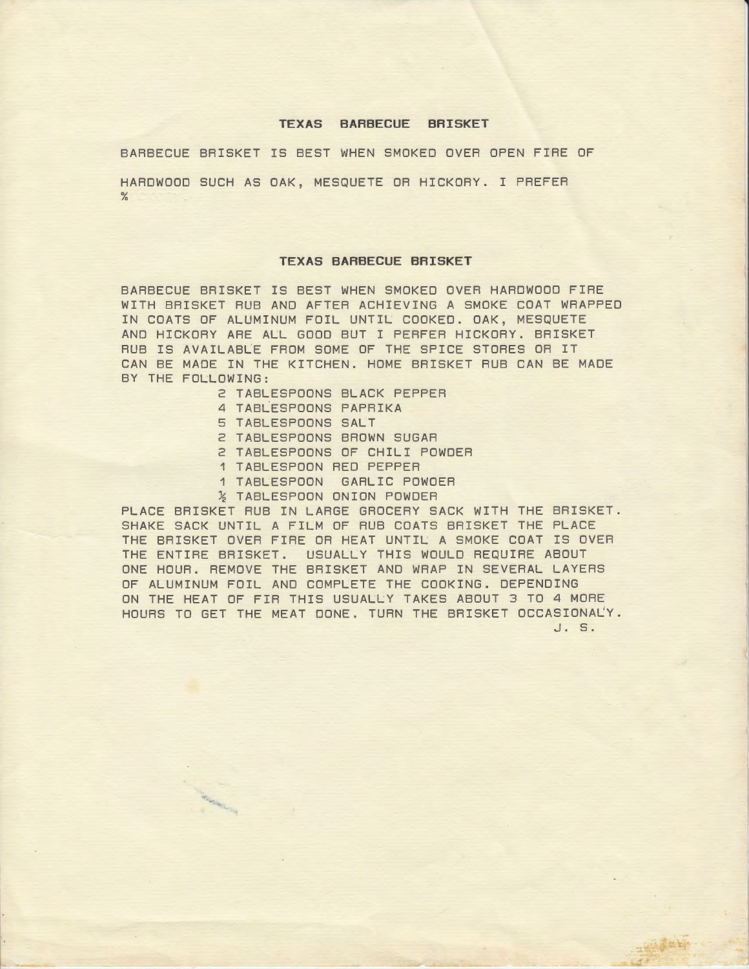#### **TEXAS BARBECUE BRISKET**

BARBECUE BRISKET IS BEST WHEN SMOKED OVER OPEN FIRE OF

HARDWOOD SUCH AS OAK, MESQUETE OR HICKORY. I PREFER %

#### **TEXAS BARBECUE BRISKET**

BARBECUE BRISKET IS BEST WHEN SMOKED OVER HARDWOOD FIRE WITH BRISKET RUB AND AFTER ACHIEVING A SMOKE COAT WRAPPED IN COATS OF ALUMINUM FOIL UNTIL COOKED. OAK, MESQUETE AND HICKORY ARE ALL GOOD BUT I PERFER HICKORY. BRISKET RUB IS AVAILABLE FROM SOME OF THE SPICE STORES OR IT CAN BE MADE IN THE KITCHEN. HOME BRISKET RUB CAN BE MADE BY THE FOLLOWING:

- 2 TABLESPOONS BLACK PEPPER
- 4 TABLESPOONS PAPRIKA
- 5 TABLESPOONS SALT

Contactor of the Contactor

- 2 TABLESPOONS BROWN SUGAR
- 2 TABLESPOONS OF CHILI POWDER
- 1 TABLESPOON RED PEPPER
- 1 TABLESPOON GARLIC POWDER
- *½* TABLESPOON ONION POWDER

PLACE BRISKET RUB IN LARGE GROCERY SACK WITH THE BRISKET. SHAKE SACK UNTIL A FILM OF RUB COATS BRISKET THE PLACE THE BRISKET OVER FIRE OR HEAT UNTIL A SMOKE COAT IS OVER THE ENTIRE BRISKET. USUALLY THIS WOULD REQUIRE ABOUT ONE HOUR. REMOVE THE BRISKET AND WRAP IN SEVERAL LAYERS OF ALUMINUM FOIL AND COMPLETE THE COOKING. DEPENDING ON THE HEAT OF FIR THIS USUALLY TAKES ABOUT 3 TO 4 MORE HOURS TO GET THE MEAT DONE. TURN THE BRISKET OCCASIONALY.

J. s.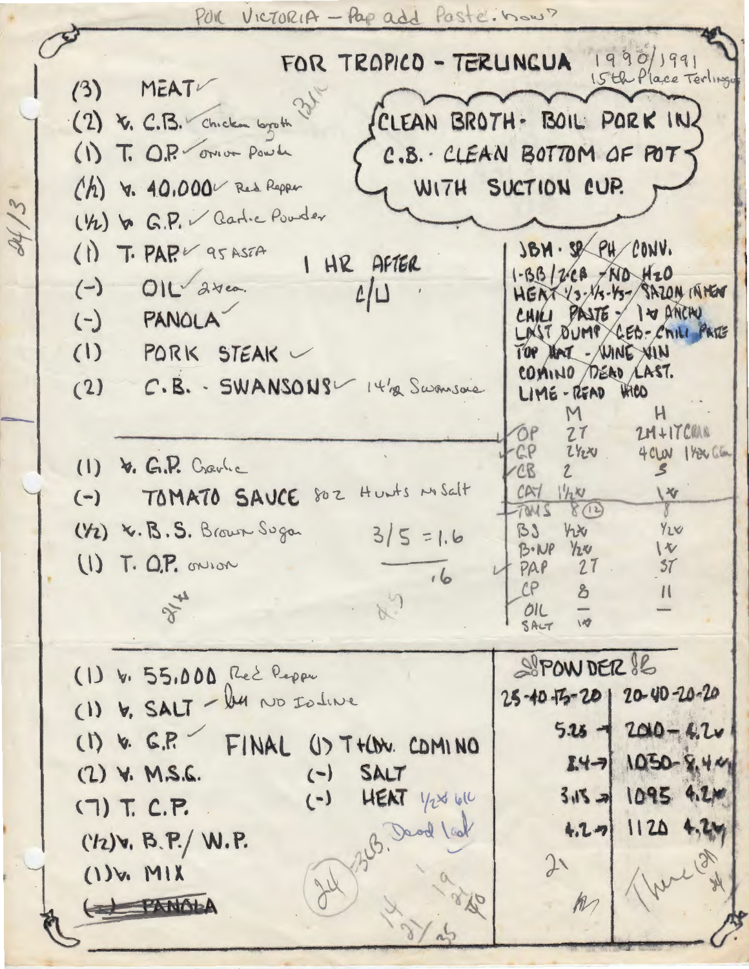POR VICTORIA - Pap add Paste. now?

FOR TROPICO - TERUNGUA 1990/1991 15th Place Terling MEAT  $(3)$ CLEAN BROTH- BOIL PORK IN (2) V. C.B. Chicken byoth (1) T. O.P. orion Powde C.B. CLEAN BOTTOM OF POTS (h) v. 40,000 Red Repper WITH SUCTION CUP. ( 12) & G.P. V Garlie Pouder  $(1)$  T. PAP  $\nu$  as ASTA  $38M.$   $$8$   $94$   $20NV.$ I HR AFTER  $1 - 331268 - NDA420$  $(-)$   $OIL\sqrt{2\pi\omega}$  $L/L$ HEAT YS-1/3-45- SAZON INNEN CHILI PASTE - I Y ANCHU  $(-)$  PANOLA LAST DUMP CED-CHILI PARE  $(1)$  PORK STEAK TOP HAT - WINE XIN COMINO DERO LAST.  $(2)$  C.B. - SWANSONS 14/2 Swansoie  $LIME - REND$   $KRO$  $H$ M  $2M+17CMN$ ŌP  $27$  $CP$  $2424$  $4CM$   $1$   $ReG$  $(I)$  b. G.P. Cravic CB  $\mathcal{L}$ (-) TOMATO SAUCE 802 Hunts MSalt  $CAY$   $1/2N$  $\sqrt{4}$  $8(12)$ TANS  $\gamma$  $(Y_2)$  x. B. S. Brown Sugar  $3/5 = 1.6$  $BJ$  $y_1x_0$  $Y_1$  $\sqrt{v}$  $B \cdot NP$   $12\nu$  $(I)$  T. O.P. onlian PAP  $27$ .  $37$  $16$  $CP$  $\mathcal{E}$  $\mathbf{1}$  $x^2$ OIL  $\overline{M}$ SALT SPOW DER & (1) V. 55,000 Red Repor (1) V. SALT - les NO Islane 25-40-75-20 20-40-20-20  $5.25 - 200 - 4.2v$  $(I)$  v.  $C.P.$ FINAL US T+CON. COMINO  $14 - 9$  1050-8.44  $(-)$  $(2)$  Y. M.S.G. SALT  $3.15 = 1095$  4.2m  $(-)$  HENT  $1/2860$  $(7)$  T. C.P. B. Dead lad  $4.2 - 1120$  4.2m  $(12)$ v, B.P./ W.P.  $21$  $(1)$  w. MIX ( PANALA  $M$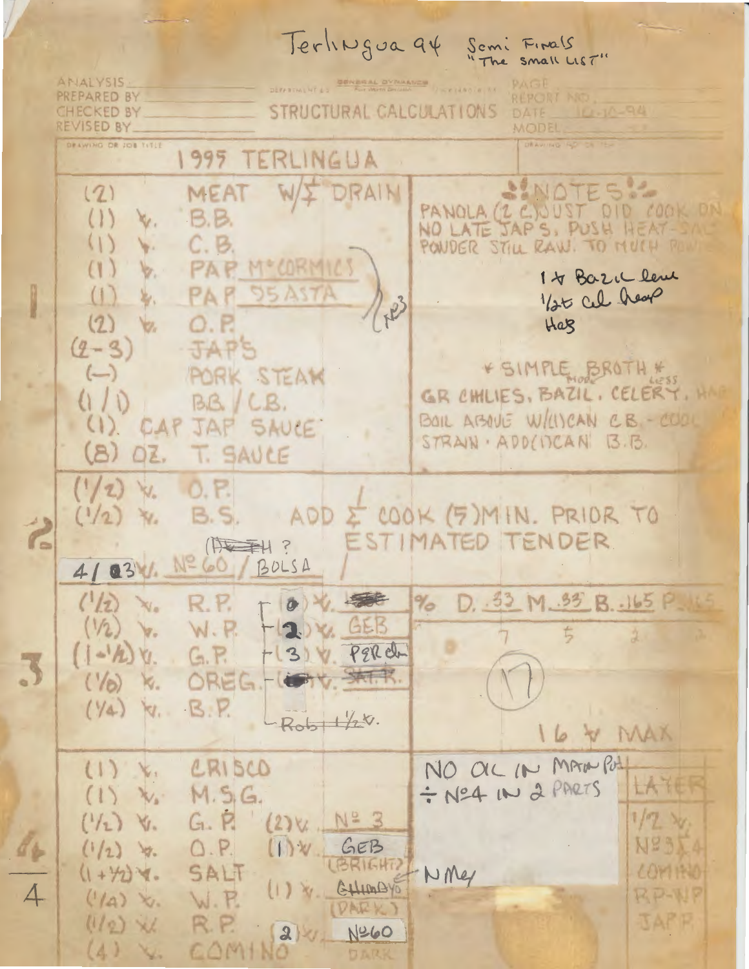Terlingua 94 Semi Finals<br>"The small LIST" **ANALYSIS REPORT NST** PREPARED BY CHECKED BY STRUCTURAL CALCULATIONS DATE 10-10-94 REVISED BY\_ MODEL DRAWING OR JOB TITLE 1995 TERLINGUA NOTES !!  $(2)$ **MEAT** WII DRAIN PANOLA (2 C.) UST DID COOK ON  $B.B.$  $(1)$ M.  $C. B$ PONDER STILL RAW. TO MUCH R v. MOCORMICS PAR  $\mathcal{U}$ v. 14 Bazic leve **95 ASTA** 1/25 Cel hear  $\left(1\right)$ 客. NB  $(2)$ Vz. Har  $(2 - 3)$ **JAPS** FSIMPLE BROTH #  $(-)$ PORK STEAM GR CHILIES, BAZIL, CELERY.  $(1/0)$  $BB / LB.$ BOIL ABOVE W/USCAN C.B. - COOL CAP JAP SAUCE  $\left( \begin{array}{c} \downarrow \\ \downarrow \end{array} \right)$ STRAIN ADD(ITCAN B.B. OZ.  $(B)$ T. SAVCE  $(1/2)$  $\mathbf{W}_n$  $0.5$ ADD E COOK (5) MIN. PRIOR TO **B.S.**  $(1/2)$  $x_{i}$  $\ddot{\mathbf{r}}$ ESTIMATED TENDER (原本) ? Nº 60 / BOLSA  $41031$ D. 33 M. 35 B. 165 P.  $\frac{d}{d}$  $(1/2)$ **XIO REAL** R.P.  $\partial$  $-20x$  GEB  $(1/2)$  $\mathbf{v}_i$ W.R. 3) W. PER de V.  $(1 - h)$  $G.R$ 七 天保 OREG  $('/6)$ K.  $B.P.$  $(y_4)$  $\forall$  $Rob1/28.$ L6 V MAX NO OIL IN MAX POLL CRISCO  $(1)$   $k$ . ÷ Nº4 IN 2 PARTS LATE  $M.S.G.$ We'  $\alpha$  $\lambda$  $G. R$  $1/2$  $(1/2)$  $(2)$   $V + N^2 = 3$ V. NS<sub>3</sub>  $O.P.$ a y  $(1)$   $\vee$ GEB  $(1/2)$  $M$ (BRIGHT)  $(1 + y_2)$ SALT  $\ell$  and that NMer GHIMAYO  $(1)$   $\infty$ W.R. RP-WP  $(1/a)$  $x_{i}$ **DARY JAPP**  $(1/2)$  XL R.P. Nº60  $2^{1}$  $(4)$ COMINO XV.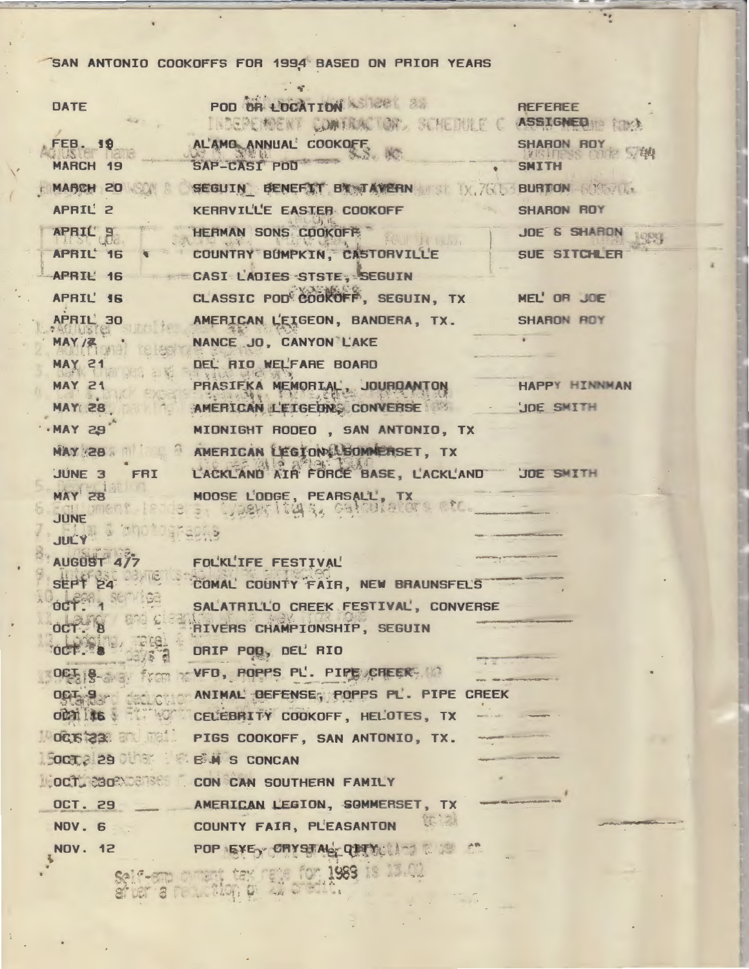## SAN ANTONIO COOKOFFS FOR 1994 BASED ON PRIOR YEARS

 $\overline{\cdot}$ 

| <b>DATE</b>                         | POD OR LOCATION STREET 28<br>INDEPENDENT COMTANT ON STREDUCE C ASSIGNED TO ME | <b>REFEREE</b>                            |
|-------------------------------------|-------------------------------------------------------------------------------|-------------------------------------------|
| <b>FEB. 19</b><br><b>MARCH 19</b>   | AL'AMO ANNUAL' COOKOFF                                                        | SHARON ROY<br><b>SMITH</b>                |
|                                     | MARCH 20 SEGUIN BENEFIT BY AVERN WAR BURTON SOFT                              |                                           |
| APRIL' 2                            | KERRVILLE EASTER COOKOFF                                                      | <b>SHARON ROY</b>                         |
| APRIL B                             | HERMAN SONS COOKOFF                                                           | <b>JOE &amp; SHARON</b>                   |
| APRIL 16                            | COUNTRY BUMPKIN, CASTORVILLE                                                  | SUE SITCHLER                              |
|                                     | APRIL 16 CASI LADIES STSTE, SEGUIN                                            |                                           |
|                                     | APRIL' 16 CLASSIC POD COOKOFF, SEGUIN, TX MEL' OR JOE                         |                                           |
| APRIL 30                            | AMERICAN L'EIGEON, BANDERA, TX. SHARON ROY<br>NANCE JO, CANYON LAKE           |                                           |
| <b>MAY 21</b>                       | DEL RIO WELFARE BOARD                                                         |                                           |
| <b>MAY 21</b>                       | PRASIFKA MEMORIAL, JOURDANTON                                                 | HAPPY HINNMAN                             |
| <b>MAY 28.</b>                      | AMERICAN L'EIGEDN, CONVERSE & JOE SMITH                                       |                                           |
| $-MAY$ 29                           | MIDNIGHT RODEO, SAN ANTONIO, TX                                               |                                           |
|                                     | MAY 28 MILL AMERICAN LEGION LOOMMERSET, TX                                    |                                           |
| JUNE 3 FRI                          | L'ACKLAND AIR FORCE BASE, L'ACKL'AND JOE SMITH                                |                                           |
| MAY 28                              | MOOSE L'ODGE, PEARSALL', TX<br>3 ANDRE L'ON 3, GANCULAROTS REC.               |                                           |
| JUNE MARTIN 18                      |                                                                               |                                           |
| <b>JUCY AND</b>                     |                                                                               |                                           |
| <b>AUGUST 477</b><br>SEPT 24        | FOL'KL'IFE FESTIVAL'                                                          |                                           |
| octer 1 Sem                         | COMAL COUNTY FAIR, NEW BRAUNSFELS<br>SALATRILLO CREEK FESTIVAL, CONVERSE      |                                           |
|                                     | <b>RIVERS CHAMPIONSHIP, SEGUIN</b>                                            |                                           |
|                                     | DRIP POD, DEL RIO                                                             |                                           |
|                                     | OFFIS- from the VFD, POPPS PL. PIPE CHEERS IN                                 |                                           |
|                                     | OCT SAN DELIGION ANIMAL DEFENSE, POPPS PL. PIPE CREEK                         |                                           |
|                                     | OCALLAS & CELEBRITY COOKOFF, HELOTES, TX                                      |                                           |
|                                     | MOCISICAL AND PIGS COOKOFF, SAN ANTONIO, TX.                                  |                                           |
| <b>SOCT 2 29 DUNK B.W. S CONCAN</b> |                                                                               |                                           |
|                                     | <b>LOCTLESORMETRIC CON CAN SOUTHERN FAMILY</b>                                |                                           |
|                                     | OCT. 29 AMERICAN LEGION, SOMMERSET, TX<br>你, 24                               |                                           |
| <b>NOV. 6</b>                       | <b>COUNTY FAIR, PL'EASANTON</b>                                               | No. of the Concession, Name of Street, or |
| <b>NOV. 12</b>                      | <b>加强调节</b><br>POP EXE CRYSTAL QUITY                                          |                                           |

Self-am orient tex rele for 1989 is 13.02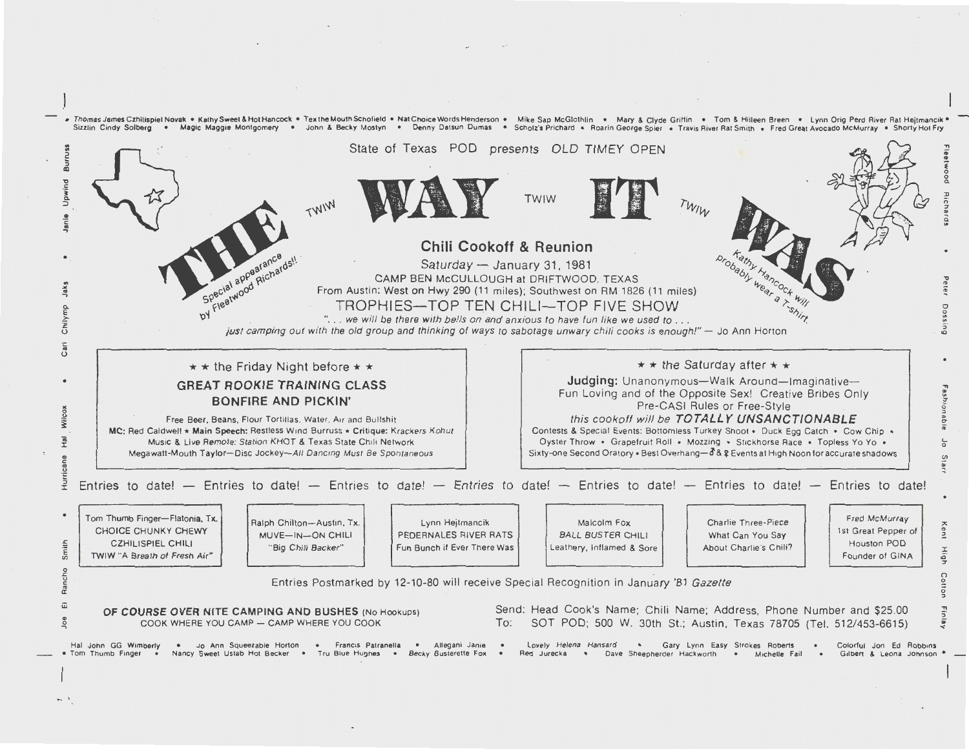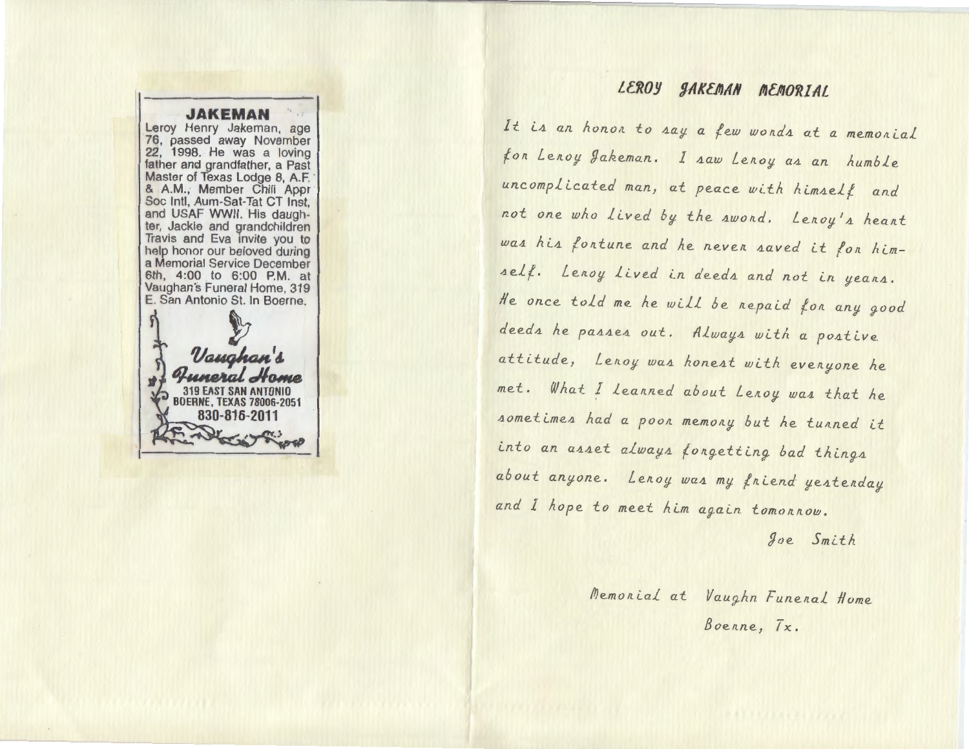## **JAKEMAN**

Leroy Henry Jakeman, age 76, passed away November 22, 1998. He was a loving father and grandfather, a Past Master of Texas Lodge 8, A.F.<br>& A.M., Member Chili Appr Soc Intl, Aum-Sat-Tat CT Inst, and USAF WWII. His daughter, Jackie and grandchildren Travis and Eva invite you to help honor our beloved during a Memorial Service December 6th, 4:00 to 6:00 P.M. at Vaughan's Funeral Home, 319 E. San Antonio St. In Boerne.

Vaugho 319 EAST SAN ANTONIO **BOERNE, TEXAS 78006-2051** 830-816-2011

# LEROY JAKEMAN MEMORIAL

It is an honor to say a few words at a memorial for Leroy Jakeman. I saw Leroy as an humble uncomplicated man, at peace with himself and not one who lived by the awond. Lenoy's heart was his fortune and he never saved it for himself. Lenoy lived in deeds and not in years. He once told me he will be repaid for any good deeds he passes out. Always with a postive attitude, Lenoy was honest with evenyone he met. What I leanned about Lenoy was that he sometimes had a poon memony but he tunned it into an asset always forgetting bad things about anyone. Lenoy was my fniend yestenday and I hope to meet him again tomonnow.

Joe Smith

Memorial at Vaughn Funeral Home Boenne, Tx.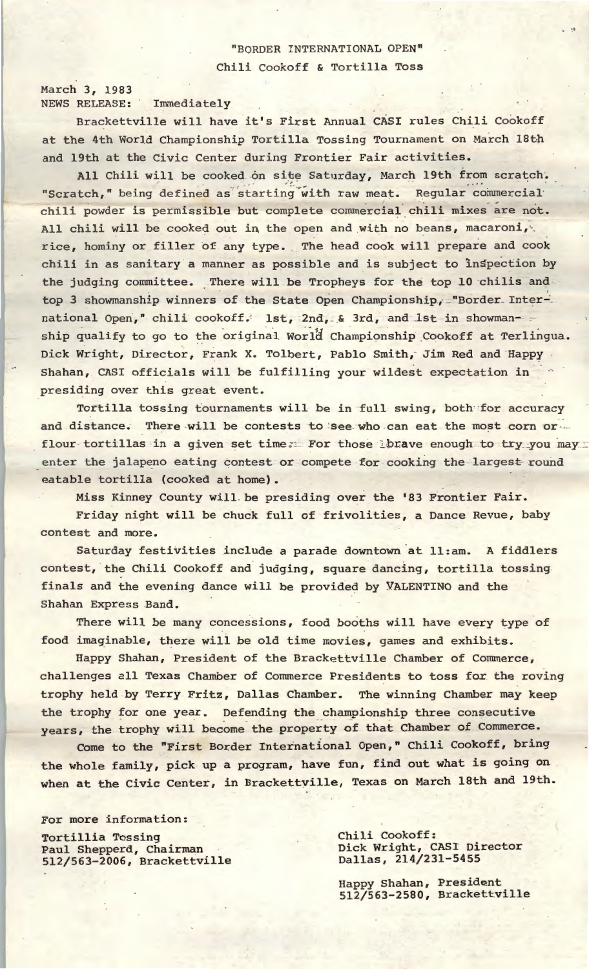# "BORDER **INTERNATIONAL OPEN"**  Chili Cookoff & Tortilla Toss

March 3, 1983 **NEWS** RELEASE: Immediately

Brackettville will have it's First Annual CASI rules Chili Cookoff at the 4th World Championship Tortilla Tossing Tournament on March 18th and 19th at the Civic Center during Frontier Fair activities.

All Chili will be cooked on site Saturday, March 19th from scratch. "Scratch," being defined as starting with raw meat. Regular commercial chili powder is permissible but complete commercial chili mixes are not. All chili will be cooked out in the open and with no beans, macaroni, rice, hominy or filler of any type. The head cook will prepare and cook chili in as sanitary a manner as possible and is subject to inspection by the judging committee. There will be Tropheys for the top 10 chilis and top 3 showmanship winners of the State Open Championship, "Border International Open," chili cookoff. 1st, 2nd, & 3rd, and 1st in showman-ship qualify to go to the original World Championship Cookoff at Terlingua. Dick Wright, Director, Frank X. Tolbert, Pablo Smith, Jim Red and Happy Shahan, CASI officials will be fulfilling your wildest expectation in presiding over this great event.

Tortilla tossing tournaments will be in full swing, both for accuracy and distance. There will be contests to see who can eat the most corn or. flour-tortillas in a given set time. For those lbrave enough to try you may enter the jalapeno eating contest or compete for cooking the largest-round eatable tortilla (cooked at home).

Miss Kinney County will be presiding over the '83 Frontier Fair.

Friday night will be chuck full of frivolities, a Dance Revue, baby contest and more.

Saturday festivities include a parade downtown at ll:am. A fiddlers contest, the Chili Cookoff and judging, square dancing, tortilla tossing. finals and the evening dance will be provided by VALENTINO and the Shahan Express Band.

There will be many concessions, food booths will have every type of food imaginable, there will be old time movies, games and exhibits.

Happy Shahan, President of the Brackettville Chamber of Commerce, challenges all Texas Chamber of Commerce Presidents to toss for the roving trophy held by Terry Fritz, Dallas Chamber. The winning Chamber may keep the trophy for one year. Defending the championship three consecutive years, the trophy will become the property of that Chamber of Commerce.

Come to the "First Border International Open," Chili Cookoff, bring the whole family, pick up a program, have fun, find out what is going on when at the Civic Center, in Brackettyille, Texas on March 18th and 19th.

For more information:

Tortillia Tossing Paul Shepperd, Chairman 512/563-2006, Brackettville Chili Cookoff: Dick Wright, CASI Director Dallas, 214/231-5455

Happy Shahan, President 512/563-2580, Brackettville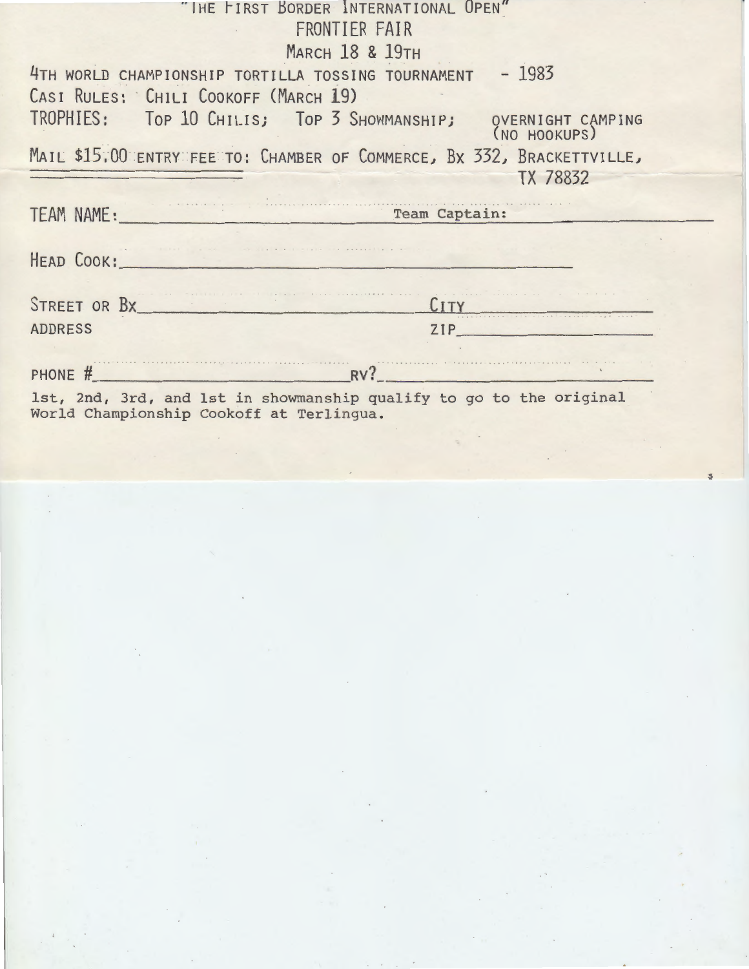| "THE FIRST BORDER INTERNATIONAL UPEN"                                                                           |  |  |  |
|-----------------------------------------------------------------------------------------------------------------|--|--|--|
| FRONTIER FAIR                                                                                                   |  |  |  |
| <b>MARCH 18 &amp; 19TH</b>                                                                                      |  |  |  |
| $-1983$<br>4TH WORLD CHAMPIONSHIP TORTILLA TOSSING TOURNAMENT                                                   |  |  |  |
| CASI RULES: CHILI COOKOFF (MARCH 19)                                                                            |  |  |  |
| TROPHIES: Top 10 CHILIS; Top 3 SHOWMANSHIP; QVERNIGHT CAMPING<br>(NO HOOKUPS)                                   |  |  |  |
| MAIL \$15,00 ENTRY FEE TO: CHAMBER OF COMMERCE, BX 332, BRACKETTVILLE,<br>TX 78832                              |  |  |  |
| TEAM NAME: Team Captain:                                                                                        |  |  |  |
|                                                                                                                 |  |  |  |
|                                                                                                                 |  |  |  |
| HEAD COOK:                                                                                                      |  |  |  |
|                                                                                                                 |  |  |  |
| STREET OR BX<br>CITY                                                                                            |  |  |  |
| <b>ADDRESS</b><br>ZIP                                                                                           |  |  |  |
|                                                                                                                 |  |  |  |
| PHONE $#$ RV?                                                                                                   |  |  |  |
| 1st, 2nd, 3rd, and 1st in showmanship qualify to go to the original<br>World Championship Cookoff at Terlingua. |  |  |  |

 $\sim$ 

 $\langle \cdot \rangle$ 

 $\epsilon$   $^{\prime\prime}$ 

 $\sim$ 

 $\sim$